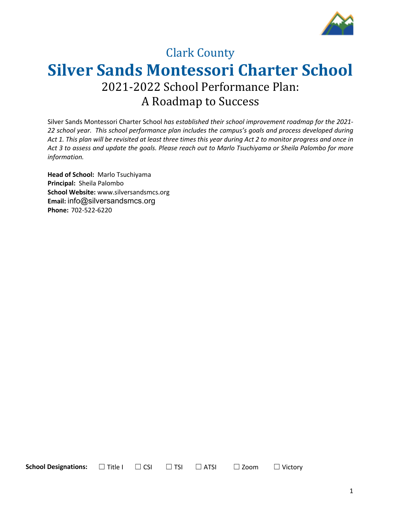

# **Clark County Silver Sands Montessori Charter School** 2021-2022 School Performance Plan: A Roadmap to Success

Silver Sands Montessori Charter School *has established their school improvement roadmap for the 2021- 22 school year. This school performance plan includes the campus's goals and process developed during Act 1. This plan will be revisited at least three times this year during Act 2 to monitor progress and once in Act 3 to assess and update the goals. Please reach out to Marlo Tsuchiyama or Sheila Palombo for more information.*

**Head of School:** Marlo Tsuchiyama **Principal:** Sheila Palombo **School Website:** www.silversandsmcs.org **Email:** info@silversandsmcs.org **Phone:** 702-522-6220

**School Designations:**  $□$  Title I  $□$  CSI  $□$  TSI  $□$  ATSI  $□$  Zoom  $□$  Victory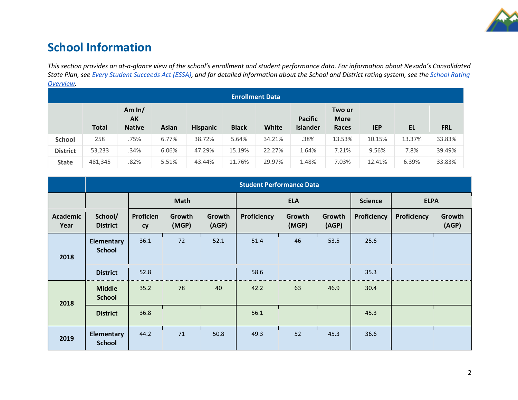

## **School Information**

*This section provides an at-a-glance view of the school's enrollment and student performance data. For information about Nevada's Consolidated State Plan, see Every Student Succeeds Act (ESSA), and for detailed information about the School and District rating system, see the School Rating Overview.*

| <b>Enrollment Data</b> |              |                                 |              |                 |              |        |                                   |                                |            |        |            |
|------------------------|--------------|---------------------------------|--------------|-----------------|--------------|--------|-----------------------------------|--------------------------------|------------|--------|------------|
|                        | <b>Total</b> | Am $ln/$<br>AK<br><b>Native</b> | <b>Asian</b> | <b>Hispanic</b> | <b>Black</b> | White  | <b>Pacific</b><br><b>Islander</b> | Two or<br><b>More</b><br>Races | <b>IEP</b> | EL     | <b>FRL</b> |
| <b>School</b>          | 258          | .75%                            | 6.77%        | 38.72%          | 5.64%        | 34.21% | .38%                              | 13.53%                         | 10.15%     | 13.37% | 33.83%     |
| <b>District</b>        | 53,233       | .34%                            | 6.06%        | 47.29%          | 15.19%       | 22.27% | 1.64%                             | 7.21%                          | 9.56%      | 7.8%   | 39.49%     |
| <b>State</b>           | 481,345      | .82%                            | 5.51%        | 43.44%          | 11.76%       | 29.97% | 1.48%                             | 7.03%                          | 12.41%     | 6.39%  | 33.83%     |

|                         |                                    | <b>Student Performance Data</b> |                 |                 |             |                 |                 |                |             |                 |
|-------------------------|------------------------------------|---------------------------------|-----------------|-----------------|-------------|-----------------|-----------------|----------------|-------------|-----------------|
|                         |                                    |                                 | <b>Math</b>     |                 |             | <b>ELA</b>      |                 | <b>Science</b> | <b>ELPA</b> |                 |
| <b>Academic</b><br>Year | School/<br><b>District</b>         | Proficien<br><b>cy</b>          | Growth<br>(MGP) | Growth<br>(AGP) | Proficiency | Growth<br>(MGP) | Growth<br>(AGP) | Proficiency    | Proficiency | Growth<br>(AGP) |
| 2018                    | <b>Elementary</b><br><b>School</b> | 36.1                            | 72              | 52.1            | 51.4        | 46              | 53.5            | 25.6           |             |                 |
|                         | <b>District</b>                    | 52.8                            |                 |                 | 58.6        |                 |                 | 35.3           |             |                 |
| 2018                    | <b>Middle</b><br><b>School</b>     | 35.2                            | 78              | 40              | 42.2        | 63              | 46.9            | 30.4           |             |                 |
|                         | <b>District</b>                    | 36.8                            |                 |                 | 56.1        |                 |                 | 45.3           |             |                 |
| 2019                    | <b>Elementary</b><br><b>School</b> | 44.2                            | 71              | 50.8            | 49.3        | 52              | 45.3            | 36.6           |             |                 |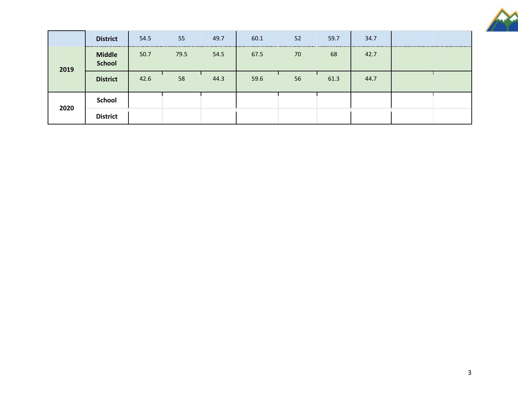

|      | <b>District</b>                | 54.5 | 55   | 49.7 | 60.1 | 52 | 59.7 | 34.7 |  |
|------|--------------------------------|------|------|------|------|----|------|------|--|
| 2019 | <b>Middle</b><br><b>School</b> | 50.7 | 79.5 | 54.5 | 67.5 | 70 | 68   | 42.7 |  |
|      | <b>District</b>                | 42.6 | 58   | 44.3 | 59.6 | 56 | 61.3 | 44.7 |  |
|      | <b>School</b>                  |      |      |      |      |    |      |      |  |
| 2020 | <b>District</b>                |      |      |      |      |    |      |      |  |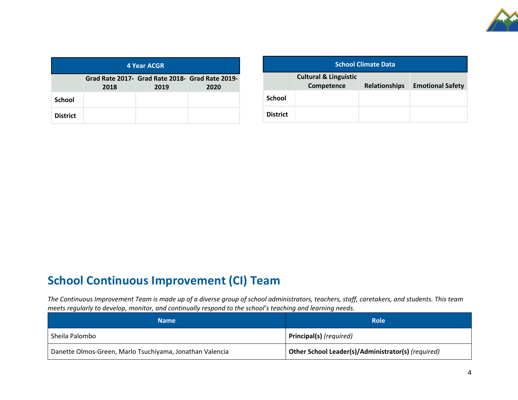

| 4 Year ACGR     |                                                                         |  |  |  |  |  |
|-----------------|-------------------------------------------------------------------------|--|--|--|--|--|
|                 | Grad Rate 2017- Grad Rate 2018- Grad Rate 2019-<br>2018<br>2019<br>2020 |  |  |  |  |  |
| <b>School</b>   |                                                                         |  |  |  |  |  |
| <b>District</b> |                                                                         |  |  |  |  |  |

| <b>School Climate Data</b> |                                                |                      |                         |  |  |
|----------------------------|------------------------------------------------|----------------------|-------------------------|--|--|
|                            | <b>Cultural &amp; Linguistic</b><br>Competence | <b>Relationships</b> | <b>Emotional Safety</b> |  |  |
| School                     |                                                |                      |                         |  |  |
| <b>District</b>            |                                                |                      |                         |  |  |

## **School Continuous Improvement (CI) Team**

*The Continuous Improvement Team is made up of a diverse group of school administrators, teachers, staff, caretakers, and students. This team meets regularly to develop, monitor, and continually respond to the school's teaching and learning needs.*

| <b>Name</b>                                              | <b>Role</b>                                        |
|----------------------------------------------------------|----------------------------------------------------|
| Sheila Palombo                                           | Principal(s) (required)                            |
| Danette Olmos-Green, Marlo Tsuchiyama, Jonathan Valencia | Other School Leader(s)/Administrator(s) (required) |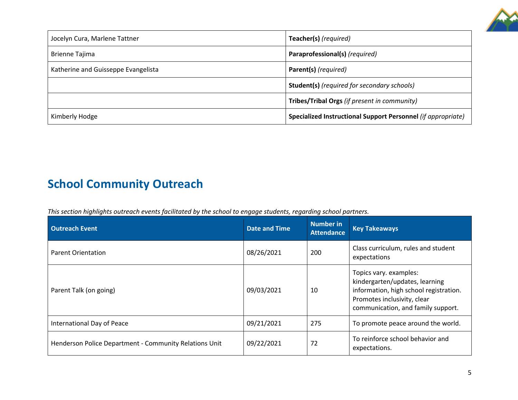

| Jocelyn Cura, Marlene Tattner       | Teacher(s) (required)                                        |
|-------------------------------------|--------------------------------------------------------------|
| <b>Brienne Tajima</b>               | Paraprofessional(s) (required)                               |
| Katherine and Guisseppe Evangelista | Parent(s) (required)                                         |
|                                     | <b>Student(s)</b> (required for secondary schools)           |
|                                     | Tribes/Tribal Orgs (if present in community)                 |
| Kimberly Hodge                      | Specialized Instructional Support Personnel (if appropriate) |

# **School Community Outreach**

*This section highlights outreach events facilitated by the school to engage students, regarding school partners.* 

| <b>Outreach Event</b>                                  | <b>Date and Time</b> | <b>Number in</b><br><b>Attendance</b> | <b>Key Takeaways</b>                                                                                                                                                    |
|--------------------------------------------------------|----------------------|---------------------------------------|-------------------------------------------------------------------------------------------------------------------------------------------------------------------------|
| <b>Parent Orientation</b>                              | 08/26/2021           | 200                                   | Class curriculum, rules and student<br>expectations                                                                                                                     |
| Parent Talk (on going)                                 | 09/03/2021           | 10                                    | Topics vary. examples:<br>kindergarten/updates, learning<br>information, high school registration.<br>Promotes inclusivity, clear<br>communication, and family support. |
| International Day of Peace                             | 09/21/2021           | 275                                   | To promote peace around the world.                                                                                                                                      |
| Henderson Police Department - Community Relations Unit | 09/22/2021           | 72                                    | To reinforce school behavior and<br>expectations.                                                                                                                       |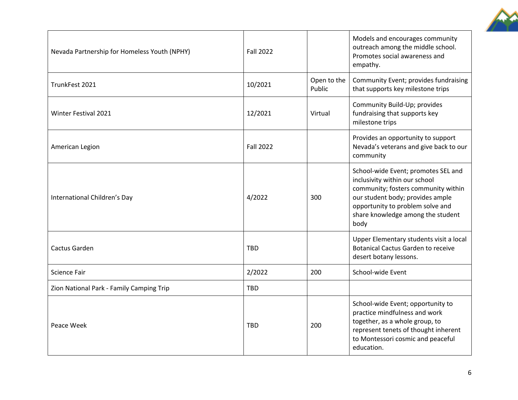

| Nevada Partnership for Homeless Youth (NPHY) | <b>Fall 2022</b> |                       | Models and encourages community<br>outreach among the middle school.<br>Promotes social awareness and<br>empathy.                                                                                                                |
|----------------------------------------------|------------------|-----------------------|----------------------------------------------------------------------------------------------------------------------------------------------------------------------------------------------------------------------------------|
| TrunkFest 2021                               | 10/2021          | Open to the<br>Public | Community Event; provides fundraising<br>that supports key milestone trips                                                                                                                                                       |
| <b>Winter Festival 2021</b>                  | 12/2021          | Virtual               | Community Build-Up; provides<br>fundraising that supports key<br>milestone trips                                                                                                                                                 |
| American Legion                              | <b>Fall 2022</b> |                       | Provides an opportunity to support<br>Nevada's veterans and give back to our<br>community                                                                                                                                        |
| International Children's Day                 | 4/2022           | 300                   | School-wide Event; promotes SEL and<br>inclusivity within our school<br>community; fosters community within<br>our student body; provides ample<br>opportunity to problem solve and<br>share knowledge among the student<br>body |
| Cactus Garden                                | <b>TBD</b>       |                       | Upper Elementary students visit a local<br><b>Botanical Cactus Garden to receive</b><br>desert botany lessons.                                                                                                                   |
| <b>Science Fair</b>                          | 2/2022           | 200                   | School-wide Event                                                                                                                                                                                                                |
| Zion National Park - Family Camping Trip     | <b>TBD</b>       |                       |                                                                                                                                                                                                                                  |
| Peace Week                                   | <b>TBD</b>       | 200                   | School-wide Event; opportunity to<br>practice mindfulness and work<br>together, as a whole group, to<br>represent tenets of thought inherent<br>to Montessori cosmic and peaceful<br>education.                                  |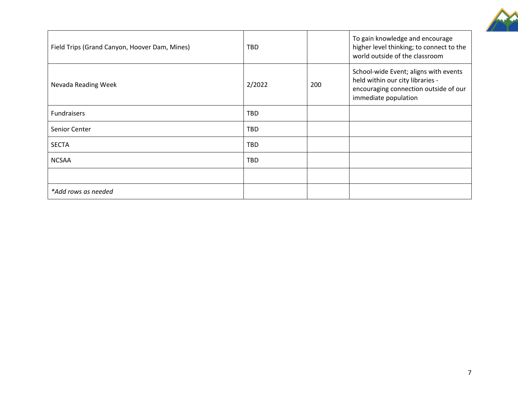

| To gain knowledge and encourage                                                                                                                             |
|-------------------------------------------------------------------------------------------------------------------------------------------------------------|
| higher level thinking; to connect to the<br>world outside of the classroom                                                                                  |
| School-wide Event; aligns with events<br>held within our city libraries -<br>2/2022<br>200<br>encouraging connection outside of our<br>immediate population |
|                                                                                                                                                             |
|                                                                                                                                                             |
|                                                                                                                                                             |
|                                                                                                                                                             |
|                                                                                                                                                             |
|                                                                                                                                                             |
|                                                                                                                                                             |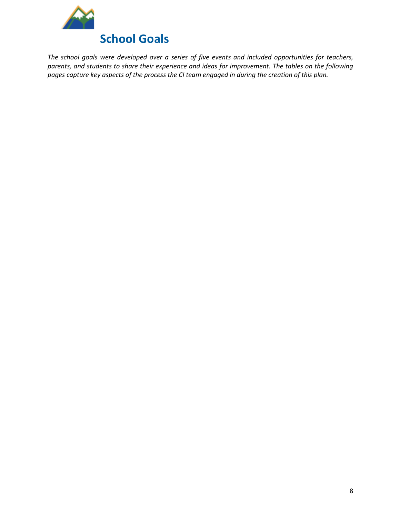

*The school goals were developed over a series of five events and included opportunities for teachers, parents, and students to share their experience and ideas for improvement. The tables on the following pages capture key aspects of the process the CI team engaged in during the creation of this plan.*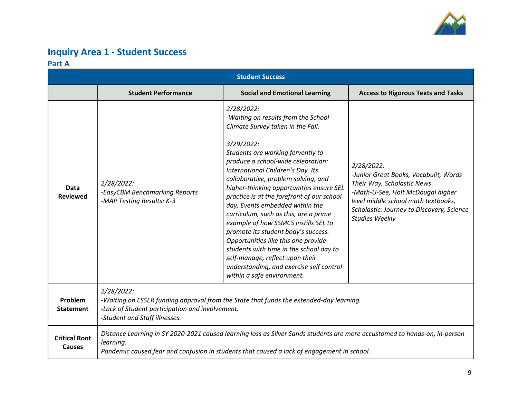

### **Inquiry Area 1 - Student Success Part A**

|                                                                                                                                                                                                                          | <b>Student Success</b>                                                                                                                                                                                                                |                                                                                                                                                                                                                                                                                                                                                                                                                                                                                                                                                                                                                                                                                                                 |                                                                                                                                                                                                                                     |  |  |  |  |
|--------------------------------------------------------------------------------------------------------------------------------------------------------------------------------------------------------------------------|---------------------------------------------------------------------------------------------------------------------------------------------------------------------------------------------------------------------------------------|-----------------------------------------------------------------------------------------------------------------------------------------------------------------------------------------------------------------------------------------------------------------------------------------------------------------------------------------------------------------------------------------------------------------------------------------------------------------------------------------------------------------------------------------------------------------------------------------------------------------------------------------------------------------------------------------------------------------|-------------------------------------------------------------------------------------------------------------------------------------------------------------------------------------------------------------------------------------|--|--|--|--|
|                                                                                                                                                                                                                          | <b>Student Performance</b>                                                                                                                                                                                                            | <b>Social and Emotional Learning</b>                                                                                                                                                                                                                                                                                                                                                                                                                                                                                                                                                                                                                                                                            | <b>Access to Rigorous Texts and Tasks</b>                                                                                                                                                                                           |  |  |  |  |
| Data<br><b>Reviewed</b>                                                                                                                                                                                                  | 2/28/2022:<br>-EasyCBM Benchmarking Reports<br>-MAP Testing Results: K-3                                                                                                                                                              | 2/28/2022:<br>-Waiting on results from the School<br>Climate Survey taken in the Fall.<br>3/29/2022:<br>Students are working fervently to<br>produce a school-wide celebration:<br>International Children's Day. Its<br>collaborative, problem solving, and<br>higher-thinking opportunities ensure SEL<br>practice is at the forefront of our school<br>day. Events embedded within the<br>curriculum, such as this, are a prime<br>example of how SSMCS instills SEL to<br>promote its student body's success.<br>Opportunities like this one provide<br>students with time in the school day to<br>self-manage, reflect upon their<br>understanding, and exercise self control<br>within a safe environment. | 2/28/2022:<br>-Junior Great Books, Vocabulit, Words<br>Their Way, Scholastic News<br>-Math-U-See, Holt McDougal higher<br>level middle school math textbooks,<br>Scholastic: Journey to Discovery, Science<br><b>Studies Weekly</b> |  |  |  |  |
| 2/28/2022:<br>Problem<br>-Waiting on ESSER funding approval from the State that funds the extended-day learning.<br>-Lack of Student participation and involvement.<br><b>Statement</b><br>-Student and Staff illnesses. |                                                                                                                                                                                                                                       |                                                                                                                                                                                                                                                                                                                                                                                                                                                                                                                                                                                                                                                                                                                 |                                                                                                                                                                                                                                     |  |  |  |  |
| <b>Critical Root</b><br><b>Causes</b>                                                                                                                                                                                    | Distance Learning in SY 2020-2021 caused learning loss as Silver Sands students are more accustomed to hands-on, in-person<br>learning.<br>Pandemic caused fear and confusion in students that caused a lack of engagement in school. |                                                                                                                                                                                                                                                                                                                                                                                                                                                                                                                                                                                                                                                                                                                 |                                                                                                                                                                                                                                     |  |  |  |  |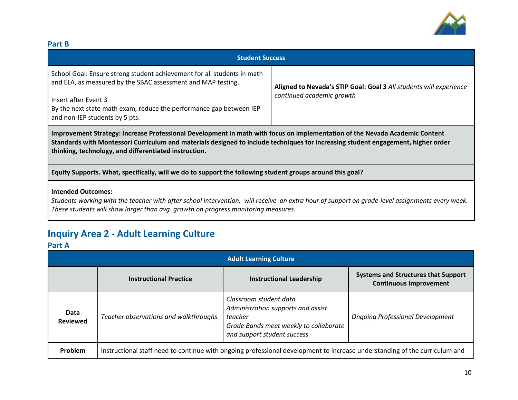

#### **Part B**

| <b>Student Success</b>                                                                                                                                                                                                                                                                                                    |                                                                                                 |  |  |  |  |
|---------------------------------------------------------------------------------------------------------------------------------------------------------------------------------------------------------------------------------------------------------------------------------------------------------------------------|-------------------------------------------------------------------------------------------------|--|--|--|--|
| School Goal: Ensure strong student achievement for all students in math<br>and ELA, as measured by the SBAC assessment and MAP testing.<br>Insert after Event 3<br>By the next state math exam, reduce the performance gap between IEP<br>and non-IEP students by 5 pts.                                                  | Aligned to Nevada's STIP Goal: Goal 3 All students will experience<br>continued academic growth |  |  |  |  |
| Improvement Strategy: Increase Professional Development in math with focus on implementation of the Nevada Academic Content<br>Standards with Montessori Curriculum and materials designed to include techniques for increasing student engagement, higher order<br>thinking, technology, and differentiated instruction. |                                                                                                 |  |  |  |  |
| Equity Supports. What, specifically, will we do to support the following student groups around this goal?                                                                                                                                                                                                                 |                                                                                                 |  |  |  |  |

#### **Intended Outcomes:**

*Students working with the teacher with after school intervention, will receive an extra hour of support on grade-level assignments every week. These students will show larger than avg. growth on progress monitoring measures.*

### **Inquiry Area 2 - Adult Learning Culture**

#### **Part A**

| <b>Adult Learning Culture</b> |                                       |                                                                                                                                                  |                                                                             |  |
|-------------------------------|---------------------------------------|--------------------------------------------------------------------------------------------------------------------------------------------------|-----------------------------------------------------------------------------|--|
|                               | <b>Instructional Practice</b>         | <b>Instructional Leadership</b>                                                                                                                  | <b>Systems and Structures that Support</b><br><b>Continuous Improvement</b> |  |
| Data<br><b>Reviewed</b>       | Teacher observations and walkthroughs | Classroom student data<br>Administration supports and assist<br>teacher<br>Grade Bands meet weekly to collaborate<br>and support student success | <b>Ongoing Professional Development</b>                                     |  |
| Problem                       |                                       | Instructional staff need to continue with ongoing professional development to increase understanding of the curriculum and                       |                                                                             |  |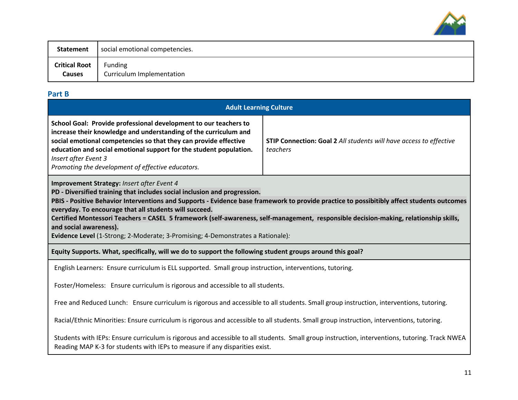

| Statement            | social emotional competencies. |
|----------------------|--------------------------------|
| <b>Critical Root</b> | Funding                        |
| Causes               | Curriculum Implementation      |

### **Part B**

| <b>Adult Learning Culture</b>                                                                                                                                                                                                                                                                                                                                                                                                                                                                                                                                                         |  |  |  |
|---------------------------------------------------------------------------------------------------------------------------------------------------------------------------------------------------------------------------------------------------------------------------------------------------------------------------------------------------------------------------------------------------------------------------------------------------------------------------------------------------------------------------------------------------------------------------------------|--|--|--|
| School Goal: Provide professional development to our teachers to<br>increase their knowledge and understanding of the curriculum and<br>social emotional competencies so that they can provide effective<br>STIP Connection: Goal 2 All students will have access to effective<br>education and social emotional support for the student population.<br>teachers<br>Insert after Event 3<br>Promoting the development of effective educators.                                                                                                                                         |  |  |  |
| Improvement Strategy: Insert after Event 4<br>PD - Diversified training that includes social inclusion and progression.<br>PBIS - Positive Behavior Interventions and Supports - Evidence base framework to provide practice to possibitibly affect students outcomes<br>everyday. To encourage that all students will succeed.<br>Certified Montessori Teachers = CASEL 5 framework (self-awareness, self-management, responsible decision-making, relationship skills,<br>and social awareness).<br>Evidence Level (1-Strong; 2-Moderate; 3-Promising; 4-Demonstrates a Rationale): |  |  |  |
| Equity Supports. What, specifically, will we do to support the following student groups around this goal?                                                                                                                                                                                                                                                                                                                                                                                                                                                                             |  |  |  |
| English Learners: Ensure curriculum is ELL supported. Small group instruction, interventions, tutoring.                                                                                                                                                                                                                                                                                                                                                                                                                                                                               |  |  |  |
| Foster/Homeless: Ensure curriculum is rigorous and accessible to all students.                                                                                                                                                                                                                                                                                                                                                                                                                                                                                                        |  |  |  |
| Free and Reduced Lunch: Ensure curriculum is rigorous and accessible to all students. Small group instruction, interventions, tutoring.                                                                                                                                                                                                                                                                                                                                                                                                                                               |  |  |  |
| Racial/Ethnic Minorities: Ensure curriculum is rigorous and accessible to all students. Small group instruction, interventions, tutoring.                                                                                                                                                                                                                                                                                                                                                                                                                                             |  |  |  |
| Students with IEPs: Ensure curriculum is rigorous and accessible to all students. Small group instruction, interventions, tutoring. Track NWEA<br>Reading MAP K-3 for students with IEPs to measure if any disparities exist.                                                                                                                                                                                                                                                                                                                                                         |  |  |  |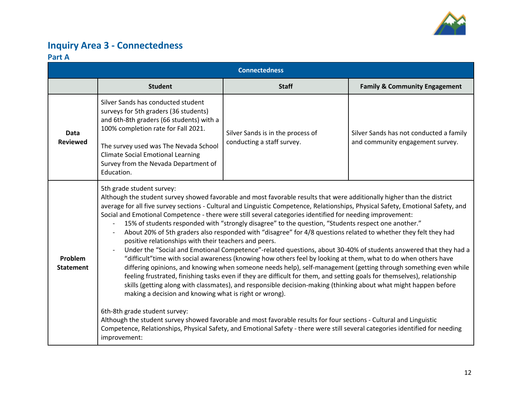

### **Inquiry Area 3 - Connectedness**

#### **Part A**

| <b>Connectedness</b>        |                                                                                                                                                                                                                                                                                                                                                                                                                                                                                                                                                                                                                                                                                                                                                                                                                                                                                                                                                                                                                                                                                                                                                                                                                                                                                                                                                                                                                                                                                                                                                                                                                                                                                                   |                                                                 |                                                                             |  |
|-----------------------------|---------------------------------------------------------------------------------------------------------------------------------------------------------------------------------------------------------------------------------------------------------------------------------------------------------------------------------------------------------------------------------------------------------------------------------------------------------------------------------------------------------------------------------------------------------------------------------------------------------------------------------------------------------------------------------------------------------------------------------------------------------------------------------------------------------------------------------------------------------------------------------------------------------------------------------------------------------------------------------------------------------------------------------------------------------------------------------------------------------------------------------------------------------------------------------------------------------------------------------------------------------------------------------------------------------------------------------------------------------------------------------------------------------------------------------------------------------------------------------------------------------------------------------------------------------------------------------------------------------------------------------------------------------------------------------------------------|-----------------------------------------------------------------|-----------------------------------------------------------------------------|--|
|                             | <b>Student</b>                                                                                                                                                                                                                                                                                                                                                                                                                                                                                                                                                                                                                                                                                                                                                                                                                                                                                                                                                                                                                                                                                                                                                                                                                                                                                                                                                                                                                                                                                                                                                                                                                                                                                    | <b>Staff</b>                                                    | <b>Family &amp; Community Engagement</b>                                    |  |
| Data<br><b>Reviewed</b>     | Silver Sands has conducted student<br>surveys for 5th graders (36 students)<br>and 6th-8th graders (66 students) with a<br>100% completion rate for Fall 2021.<br>The survey used was The Nevada School<br><b>Climate Social Emotional Learning</b><br>Survey from the Nevada Department of<br>Education.                                                                                                                                                                                                                                                                                                                                                                                                                                                                                                                                                                                                                                                                                                                                                                                                                                                                                                                                                                                                                                                                                                                                                                                                                                                                                                                                                                                         | Silver Sands is in the process of<br>conducting a staff survey. | Silver Sands has not conducted a family<br>and community engagement survey. |  |
| Problem<br><b>Statement</b> | 5th grade student survey:<br>Although the student survey showed favorable and most favorable results that were additionally higher than the district<br>average for all five survey sections - Cultural and Linguistic Competence, Relationships, Physical Safety, Emotional Safety, and<br>Social and Emotional Competence - there were still several categories identified for needing improvement:<br>15% of students responded with "strongly disagree" to the question, "Students respect one another."<br>$\overline{\phantom{a}}$<br>About 20% of 5th graders also responded with "disagree" for 4/8 questions related to whether they felt they had<br>positive relationships with their teachers and peers.<br>Under the "Social and Emotional Competence"-related questions, about 30-40% of students answered that they had a<br>"difficult" time with social awareness (knowing how others feel by looking at them, what to do when others have<br>differing opinions, and knowing when someone needs help), self-management (getting through something even while<br>feeling frustrated, finishing tasks even if they are difficult for them, and setting goals for themselves), relationship<br>skills (getting along with classmates), and responsible decision-making (thinking about what might happen before<br>making a decision and knowing what is right or wrong).<br>6th-8th grade student survey:<br>Although the student survey showed favorable and most favorable results for four sections - Cultural and Linguistic<br>Competence, Relationships, Physical Safety, and Emotional Safety - there were still several categories identified for needing<br>improvement: |                                                                 |                                                                             |  |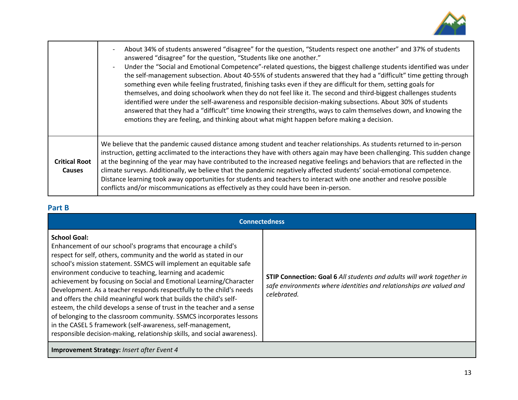

|                                       | About 34% of students answered "disagree" for the question, "Students respect one another" and 37% of students<br>answered "disagree" for the question, "Students like one another."<br>Under the "Social and Emotional Competence"-related questions, the biggest challenge students identified was under<br>the self-management subsection. About 40-55% of students answered that they had a "difficult" time getting through<br>something even while feeling frustrated, finishing tasks even if they are difficult for them, setting goals for<br>themselves, and doing schoolwork when they do not feel like it. The second and third-biggest challenges students<br>identified were under the self-awareness and responsible decision-making subsections. About 30% of students<br>answered that they had a "difficult" time knowing their strengths, ways to calm themselves down, and knowing the<br>emotions they are feeling, and thinking about what might happen before making a decision. |
|---------------------------------------|---------------------------------------------------------------------------------------------------------------------------------------------------------------------------------------------------------------------------------------------------------------------------------------------------------------------------------------------------------------------------------------------------------------------------------------------------------------------------------------------------------------------------------------------------------------------------------------------------------------------------------------------------------------------------------------------------------------------------------------------------------------------------------------------------------------------------------------------------------------------------------------------------------------------------------------------------------------------------------------------------------|
| <b>Critical Root</b><br><b>Causes</b> | We believe that the pandemic caused distance among student and teacher relationships. As students returned to in-person<br>instruction, getting acclimated to the interactions they have with others again may have been challenging. This sudden change<br>at the beginning of the year may have contributed to the increased negative feelings and behaviors that are reflected in the<br>climate surveys. Additionally, we believe that the pandemic negatively affected students' social-emotional competence.<br>Distance learning took away opportunities for students and teachers to interact with one another and resolve possible<br>conflicts and/or miscommunications as effectively as they could have been in-person.                                                                                                                                                                                                                                                                     |

### **Part B**

| <b>Connectedness</b>                                                                                                                                                                                                                                                                                                                                                                                                                                                                                                                                                                                                                                                                                                                                                                                        |                                                                                                                                                             |  |  |
|-------------------------------------------------------------------------------------------------------------------------------------------------------------------------------------------------------------------------------------------------------------------------------------------------------------------------------------------------------------------------------------------------------------------------------------------------------------------------------------------------------------------------------------------------------------------------------------------------------------------------------------------------------------------------------------------------------------------------------------------------------------------------------------------------------------|-------------------------------------------------------------------------------------------------------------------------------------------------------------|--|--|
| <b>School Goal:</b><br>Enhancement of our school's programs that encourage a child's<br>respect for self, others, community and the world as stated in our<br>school's mission statement. SSMCS will implement an equitable safe<br>environment conducive to teaching, learning and academic<br>achievement by focusing on Social and Emotional Learning/Character<br>Development. As a teacher responds respectfully to the child's needs<br>and offers the child meaningful work that builds the child's self-<br>esteem, the child develops a sense of trust in the teacher and a sense<br>of belonging to the classroom community. SSMCS incorporates lessons<br>in the CASEL 5 framework (self-awareness, self-management,<br>responsible decision-making, relationship skills, and social awareness). | STIP Connection: Goal 6 All students and adults will work together in<br>safe environments where identities and relationships are valued and<br>celebrated. |  |  |
| <b>Improvement Strategy: Insert after Event 4</b>                                                                                                                                                                                                                                                                                                                                                                                                                                                                                                                                                                                                                                                                                                                                                           |                                                                                                                                                             |  |  |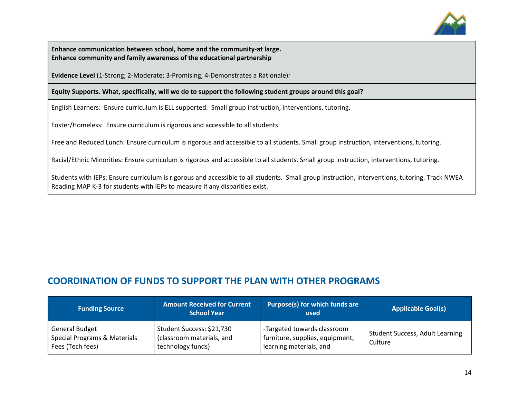

**Enhance communication between school, home and the community-at large. Enhance community and family awareness of the educational partnership**

**Evidence Level** (1-Strong; 2-Moderate; 3-Promising; 4-Demonstrates a Rationale)*:* 

**Equity Supports. What, specifically, will we do to support the following student groups around this goal?**

English Learners: Ensure curriculum is ELL supported. Small group instruction, interventions, tutoring.

Foster/Homeless: Ensure curriculum is rigorous and accessible to all students.

Free and Reduced Lunch: Ensure curriculum is rigorous and accessible to all students. Small group instruction, interventions, tutoring.

Racial/Ethnic Minorities: Ensure curriculum is rigorous and accessible to all students. Small group instruction, interventions, tutoring.

Students with IEPs: Ensure curriculum is rigorous and accessible to all students. Small group instruction, interventions, tutoring. Track NWEA Reading MAP K-3 for students with IEPs to measure if any disparities exist.

### **COORDINATION OF FUNDS TO SUPPORT THE PLAN WITH OTHER PROGRAMS**

| <b>Funding Source</b>                                                     | <b>Amount Received for Current</b><br><b>School Year</b>                    | Purpose(s) for which funds are<br>used                                                    | <b>Applicable Goal(s)</b>                         |
|---------------------------------------------------------------------------|-----------------------------------------------------------------------------|-------------------------------------------------------------------------------------------|---------------------------------------------------|
| <b>General Budget</b><br>Special Programs & Materials<br>Fees (Tech fees) | Student Success: \$21,730<br>(classroom materials, and<br>technology funds) | -Targeted towards classroom<br>furniture, supplies, equipment,<br>learning materials, and | <b>Student Success, Adult Learning</b><br>Culture |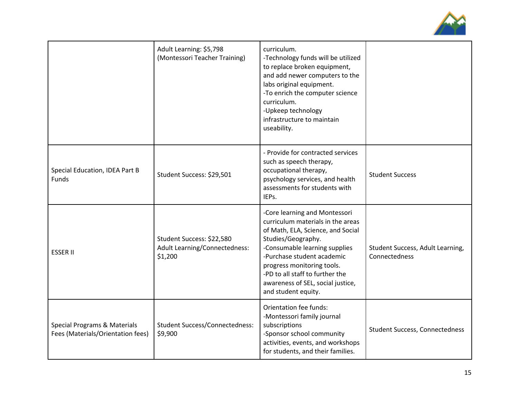

|                                                                              | Adult Learning: \$5,798<br>(Montessori Teacher Training)              | curriculum.<br>-Technology funds will be utilized<br>to replace broken equipment,<br>and add newer computers to the<br>labs original equipment.<br>-To enrich the computer science<br>curriculum.<br>-Upkeep technology<br>infrastructure to maintain<br>useability.                                                      |                                                   |
|------------------------------------------------------------------------------|-----------------------------------------------------------------------|---------------------------------------------------------------------------------------------------------------------------------------------------------------------------------------------------------------------------------------------------------------------------------------------------------------------------|---------------------------------------------------|
| Special Education, IDEA Part B<br>Funds                                      | Student Success: \$29,501                                             | - Provide for contracted services<br>such as speech therapy,<br>occupational therapy,<br>psychology services, and health<br>assessments for students with<br>IEPs.                                                                                                                                                        | <b>Student Success</b>                            |
| <b>ESSER II</b>                                                              | Student Success: \$22,580<br>Adult Learning/Connectedness:<br>\$1,200 | -Core learning and Montessori<br>curriculum materials in the areas<br>of Math, ELA, Science, and Social<br>Studies/Geography.<br>-Consumable learning supplies<br>-Purchase student academic<br>progress monitoring tools.<br>-PD to all staff to further the<br>awareness of SEL, social justice,<br>and student equity. | Student Success, Adult Learning,<br>Connectedness |
| <b>Special Programs &amp; Materials</b><br>Fees (Materials/Orientation fees) | <b>Student Success/Connectedness:</b><br>\$9,900                      | Orientation fee funds:<br>-Montessori family journal<br>subscriptions<br>-Sponsor school community<br>activities, events, and workshops<br>for students, and their families.                                                                                                                                              | <b>Student Success, Connectedness</b>             |